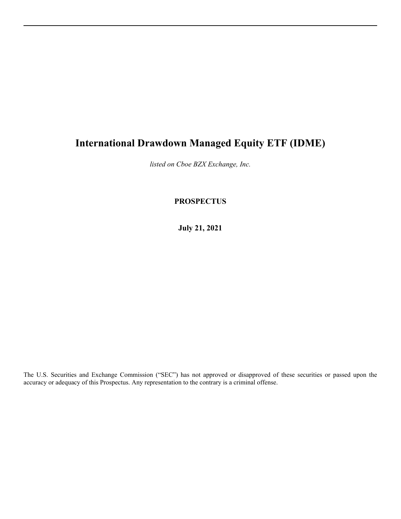# **International Drawdown Managed Equity ETF (IDME)**

*listed on Cboe BZX Exchange, Inc.*

# **PROSPECTUS**

**July 21, 2021**

The U.S. Securities and Exchange Commission ("SEC") has not approved or disapproved of these securities or passed upon the accuracy or adequacy of this Prospectus. Any representation to the contrary is a criminal offense.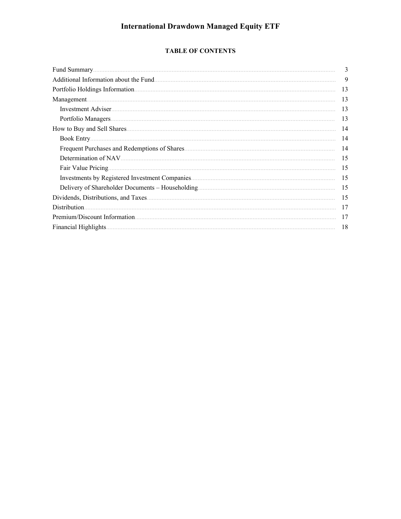# **International Drawdown Managed Equity ETF**

# **TABLE OF CONTENTS**

|                     | 3  |
|---------------------|----|
|                     | 9  |
|                     | 13 |
|                     | 13 |
|                     | 13 |
| Portfolio Managers. | 13 |
|                     | 14 |
|                     | 14 |
|                     | 14 |
|                     | 15 |
| Fair Value Pricing. | 15 |
|                     | 15 |
|                     | 15 |
|                     | 15 |
| Distribution.       | 17 |
|                     | 17 |
|                     | 18 |
|                     |    |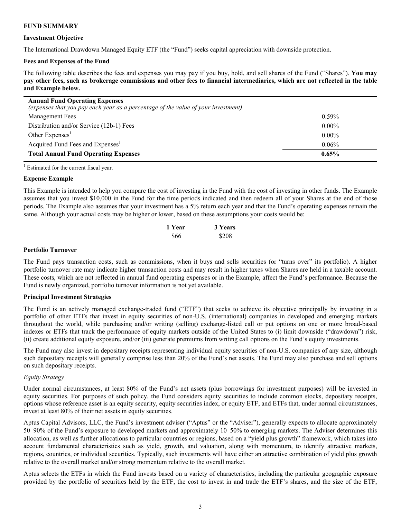#### <span id="page-2-0"></span>**FUND SUMMARY**

#### **Investment Objective**

The International Drawdown Managed Equity ETF (the "Fund") seeks capital appreciation with downside protection.

#### **Fees and Expenses of the Fund**

The following table describes the fees and expenses you may pay if you buy, hold, and sell shares of the Fund ("Shares"). **You may pay other fees, such as brokerage commissions and other fees to financial intermediaries, which are not reflected in the table and Example below.**

| <b>Annual Fund Operating Expenses</b><br>(expenses that you pay each year as a percentage of the value of your investment) |          |
|----------------------------------------------------------------------------------------------------------------------------|----------|
| Management Fees                                                                                                            | $0.59\%$ |
| Distribution and/or Service (12b-1) Fees                                                                                   | $0.00\%$ |
| Other Expenses <sup>1</sup>                                                                                                | $0.00\%$ |
| Acquired Fund Fees and Expenses <sup>1</sup>                                                                               | $0.06\%$ |
| <b>Total Annual Fund Operating Expenses</b>                                                                                | $0.65\%$ |

<sup>1</sup> Estimated for the current fiscal year.

#### **Expense Example**

This Example is intended to help you compare the cost of investing in the Fund with the cost of investing in other funds. The Example assumes that you invest \$10,000 in the Fund for the time periods indicated and then redeem all of your Shares at the end of those periods. The Example also assumes that your investment has a 5% return each year and that the Fund's operating expenses remain the same. Although your actual costs may be higher or lower, based on these assumptions your costs would be:

| 1 Year | 3 Years |
|--------|---------|
| \$66   | \$208   |

### **Portfolio Turnover**

The Fund pays transaction costs, such as commissions, when it buys and sells securities (or "turns over" its portfolio). A higher portfolio turnover rate may indicate higher transaction costs and may result in higher taxes when Shares are held in a taxable account. These costs, which are not reflected in annual fund operating expenses or in the Example, affect the Fund's performance. Because the Fund is newly organized, portfolio turnover information is not yet available.

#### **Principal Investment Strategies**

The Fund is an actively managed exchange-traded fund ("ETF") that seeks to achieve its objective principally by investing in a portfolio of other ETFs that invest in equity securities of non-U.S. (international) companies in developed and emerging markets throughout the world, while purchasing and/or writing (selling) exchange-listed call or put options on one or more broad-based indexes or ETFs that track the performance of equity markets outside of the United States to (i) limit downside ("drawdown") risk, (ii) create additional equity exposure, and/or (iii) generate premiums from writing call options on the Fund's equity investments.

The Fund may also invest in depositary receipts representing individual equity securities of non-U.S. companies of any size, although such depositary receipts will generally comprise less than 20% of the Fund's net assets. The Fund may also purchase and sell options on such depositary receipts.

#### *Equity Strategy*

Under normal circumstances, at least 80% of the Fund's net assets (plus borrowings for investment purposes) will be invested in equity securities. For purposes of such policy, the Fund considers equity securities to include common stocks, depositary receipts, options whose reference asset is an equity security, equity securities index, or equity ETF, and ETFs that, under normal circumstances, invest at least 80% of their net assets in equity securities.

Aptus Capital Advisors, LLC, the Fund's investment adviser ("Aptus" or the "Adviser"), generally expects to allocate approximately 50–90% of the Fund's exposure to developed markets and approximately 10–50% to emerging markets. The Adviser determines this allocation, as well as further allocations to particular countries or regions, based on a "yield plus growth" framework, which takes into account fundamental characteristics such as yield, growth, and valuation, along with momentum, to identify attractive markets, regions, countries, or individual securities. Typically, such investments will have either an attractive combination of yield plus growth relative to the overall market and/or strong momentum relative to the overall market.

Aptus selects the ETFs in which the Fund invests based on a variety of characteristics, including the particular geographic exposure provided by the portfolio of securities held by the ETF, the cost to invest in and trade the ETF's shares, and the size of the ETF,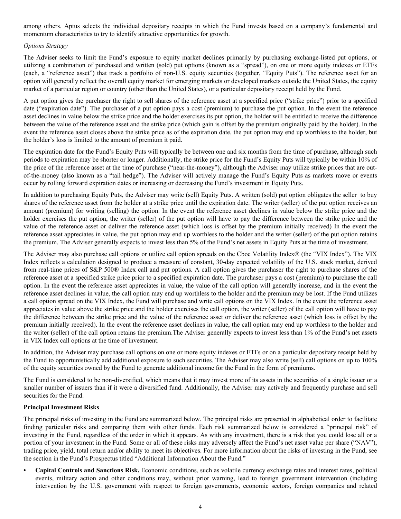among others. Aptus selects the individual depositary receipts in which the Fund invests based on a company's fundamental and momentum characteristics to try to identify attractive opportunities for growth.

# *Options Strategy*

The Adviser seeks to limit the Fund's exposure to equity market declines primarily by purchasing exchange-listed put options, or utilizing a combination of purchased and written (sold) put options (known as a "spread"), on one or more equity indexes or ETFs (each, a "reference asset") that track a portfolio of non-U.S. equity securities (together, "Equity Puts"). The reference asset for an option will generally reflect the overall equity market for emerging markets or developed markets outside the United States, the equity market of a particular region or country (other than the United States), or a particular depositary receipt held by the Fund.

A put option gives the purchaser the right to sell shares of the reference asset at a specified price ("strike price") prior to a specified date ("expiration date"). The purchaser of a put option pays a cost (premium) to purchase the put option. In the event the reference asset declines in value below the strike price and the holder exercises its put option, the holder will be entitled to receive the difference between the value of the reference asset and the strike price (which gain is offset by the premium originally paid by the holder). In the event the reference asset closes above the strike price as of the expiration date, the put option may end up worthless to the holder, but the holder's loss is limited to the amount of premium it paid.

The expiration date for the Fund's Equity Puts will typically be between one and six months from the time of purchase, although such periods to expiration may be shorter or longer. Additionally, the strike price for the Fund's Equity Puts will typically be within 10% of the price of the reference asset at the time of purchase ("near-the-money"), although the Adviser may utilize strike prices that are outof-the-money (also known as a "tail hedge"). The Adviser will actively manage the Fund's Equity Puts as markets move or events occur by rolling forward expiration dates or increasing or decreasing the Fund's investment in Equity Puts.

In addition to purchasing Equity Puts, the Adviser may write (sell) Equity Puts. A written (sold) put option obligates the seller to buy shares of the reference asset from the holder at a strike price until the expiration date. The writer (seller) of the put option receives an amount (premium) for writing (selling) the option. In the event the reference asset declines in value below the strike price and the holder exercises the put option, the writer (seller) of the put option will have to pay the difference between the strike price and the value of the reference asset or deliver the reference asset (which loss is offset by the premium initially received) In the event the reference asset appreciates in value, the put option may end up worthless to the holder and the writer (seller) of the put option retains the premium. The Adviser generally expects to invest less than 5% of the Fund's net assets in Equity Puts at the time of investment.

The Adviser may also purchase call options or utilize call option spreads on the Cboe Volatility Index® (the "VIX Index"). The VIX Index reflects a calculation designed to produce a measure of constant, 30-day expected volatility of the U.S. stock market, derived from real-time prices of S&P 500® Index call and put options. A call option gives the purchaser the right to purchase shares of the reference asset at a specified strike price prior to a specified expiration date. The purchaser pays a cost (premium) to purchase the call option. In the event the reference asset appreciates in value, the value of the call option will generally increase, and in the event the reference asset declines in value, the call option may end up worthless to the holder and the premium may be lost. If the Fund utilizes a call option spread on the VIX Index, the Fund will purchase and write call options on the VIX Index. In the event the reference asset appreciates in value above the strike price and the holder exercises the call option, the writer (seller) of the call option will have to pay the difference between the strike price and the value of the reference asset or deliver the reference asset (which loss is offset by the premium initially received). In the event the reference asset declines in value, the call option may end up worthless to the holder and the writer (seller) of the call option retains the premium.The Adviser generally expects to invest less than 1% of the Fund's net assets in VIX Index call options at the time of investment.

In addition, the Adviser may purchase call options on one or more equity indexes or ETFs or on a particular depositary receipt held by the Fund to opportunistically add additional exposure to such securities. The Adviser may also write (sell) call options on up to 100% of the equity securities owned by the Fund to generate additional income for the Fund in the form of premiums.

The Fund is considered to be non-diversified, which means that it may invest more of its assets in the securities of a single issuer or a smaller number of issuers than if it were a diversified fund. Additionally, the Adviser may actively and frequently purchase and sell securities for the Fund.

# **Principal Investment Risks**

The principal risks of investing in the Fund are summarized below. The principal risks are presented in alphabetical order to facilitate finding particular risks and comparing them with other funds. Each risk summarized below is considered a "principal risk" of investing in the Fund, regardless of the order in which it appears. As with any investment, there is a risk that you could lose all or a portion of your investment in the Fund. Some or all of these risks may adversely affect the Fund's net asset value per share ("NAV"), trading price, yield, total return and/or ability to meet its objectives. For more information about the risks of investing in the Fund, see the section in the Fund's Prospectus titled "Additional Information About the Fund."

**• Capital Controls and Sanctions Risk.** Economic conditions, such as volatile currency exchange rates and interest rates, political events, military action and other conditions may, without prior warning, lead to foreign government intervention (including intervention by the U.S. government with respect to foreign governments, economic sectors, foreign companies and related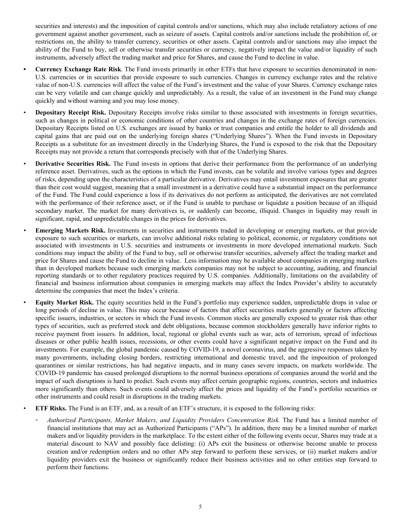securities and interests) and the imposition of capital controls and/or sanctions, which may also include retaliatory actions of one government against another government, such as seizure of assets. Capital controls and/or sanctions include the prohibition of, or restrictions on, the ability to transfer currency, securities or other assets. Capital controls and/or sanctions may also impact the ability of the Fund to buy, sell or otherwise transfer securities or currency, negatively impact the value and/or liquidity of such instruments, adversely affect the trading market and price for Shares, and cause the Fund to decline in value.

- **• Currency Exchange Rate Risk**. The Fund invests primarily in other ETFs that have exposure to securities denominated in non-U.S. currencies or in securities that provide exposure to such currencies. Changes in currency exchange rates and the relative value of non-U.S. currencies will affect the value of the Fund's investment and the value of your Shares. Currency exchange rates can be very volatile and can change quickly and unpredictably. As a result, the value of an investment in the Fund may change quickly and without warning and you may lose money.
- **Depositary Receipt Risk.** Depositary Receipts involve risks similar to those associated with investments in foreign securities, such as changes in political or economic conditions of other countries and changes in the exchange rates of foreign currencies. Depositary Receipts listed on U.S. exchanges are issued by banks or trust companies and entitle the holder to all dividends and capital gains that are paid out on the underlying foreign shares ("Underlying Shares"). When the Fund invests in Depositary Receipts as a substitute for an investment directly in the Underlying Shares, the Fund is exposed to the risk that the Depositary Receipts may not provide a return that corresponds precisely with that of the Underlying Shares.
- **Derivative Securities Risk.** The Fund invests in options that derive their performance from the performance of an underlying reference asset. Derivatives, such as the options in which the Fund invests, can be volatile and involve various types and degrees of risks, depending upon the characteristics of a particular derivative. Derivatives may entail investment exposures that are greater than their cost would suggest, meaning that a small investment in a derivative could have a substantial impact on the performance of the Fund. The Fund could experience a loss if its derivatives do not perform as anticipated, the derivatives are not correlated with the performance of their reference asset, or if the Fund is unable to purchase or liquidate a position because of an illiquid secondary market. The market for many derivatives is, or suddenly can become, illiquid. Changes in liquidity may result in significant, rapid, and unpredictable changes in the prices for derivatives.
- *•* **Emerging Markets Risk.** Investments in securities and instruments traded in developing or emerging markets, or that provide exposure to such securities or markets, can involve additional risks relating to political, economic, or regulatory conditions not associated with investments in U.S. securities and instruments or investments in more developed international markets. Such conditions may impact the ability of the Fund to buy, sell or otherwise transfer securities, adversely affect the trading market and price for Shares and cause the Fund to decline in value. Less information may be available about companies in emerging markets than in developed markets because such emerging markets companies may not be subject to accounting, auditing, and financial reporting standards or to other regulatory practices required by U.S. companies. Additionally, limitations on the availability of financial and business information about companies in emerging markets may affect the Index Provider's ability to accurately determine the companies that meet the Index's criteria.
	- **Equity Market Risk.** The equity securities held in the Fund's portfolio may experience sudden, unpredictable drops in value or long periods of decline in value. This may occur because of factors that affect securities markets generally or factors affecting specific issuers, industries, or sectors in which the Fund invests. Common stocks are generally exposed to greater risk than other types of securities, such as preferred stock and debt obligations, because common stockholders generally have inferior rights to receive payment from issuers. In addition, local, regional or global events such as war, acts of terrorism, spread of infectious diseases or other public health issues, recessions, or other events could have a significant negative impact on the Fund and its investments. For example, the global pandemic caused by COVID-19, a novel coronavirus, and the aggressive responses taken by many governments, including closing borders, restricting international and domestic travel, and the imposition of prolonged quarantines or similar restrictions, has had negative impacts, and in many cases severe impacts, on markets worldwide. The COVID-19 pandemic has caused prolonged disruptions to the normal business operations of companies around the world and the impact of such disruptions is hard to predict. Such events may affect certain geographic regions, countries, sectors and industries more significantly than others. Such events could adversely affect the prices and liquidity of the Fund's portfolio securities or other instruments and could result in disruptions in the trading markets.
	- **ETF Risks.** The Fund is an ETF, and, as a result of an ETF's structure, it is exposed to the following risks:
	- *Authorized Participants, Market Makers, and Liquidity Providers Concentration Risk.* The Fund has a limited number of financial institutions that may act as Authorized Participants ("APs"). In addition, there may be a limited number of market makers and/or liquidity providers in the marketplace. To the extent either of the following events occur, Shares may trade at a material discount to NAV and possibly face delisting: (i) APs exit the business or otherwise become unable to process creation and/or redemption orders and no other APs step forward to perform these services, or (ii) market makers and/or liquidity providers exit the business or significantly reduce their business activities and no other entities step forward to perform their functions.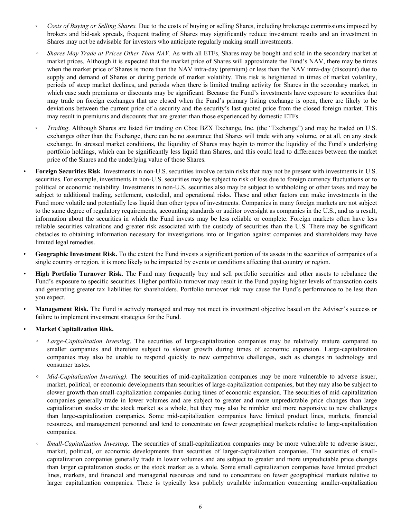- *Costs of Buying or Selling Shares.* Due to the costs of buying or selling Shares, including brokerage commissions imposed by brokers and bid-ask spreads, frequent trading of Shares may significantly reduce investment results and an investment in Shares may not be advisable for investors who anticipate regularly making small investments.
- *Shares May Trade at Prices Other Than NAV.* As with all ETFs, Shares may be bought and sold in the secondary market at market prices. Although it is expected that the market price of Shares will approximate the Fund's NAV, there may be times when the market price of Shares is more than the NAV intra-day (premium) or less than the NAV intra-day (discount) due to supply and demand of Shares or during periods of market volatility. This risk is heightened in times of market volatility, periods of steep market declines, and periods when there is limited trading activity for Shares in the secondary market, in which case such premiums or discounts may be significant. Because the Fund's investments have exposure to securities that may trade on foreign exchanges that are closed when the Fund's primary listing exchange is open, there are likely to be deviations between the current price of a security and the security's last quoted price from the closed foreign market. This may result in premiums and discounts that are greater than those experienced by domestic ETFs.
- *Trading*. Although Shares are listed for trading on Cboe BZX Exchange, Inc. (the "Exchange") and may be traded on U.S. exchanges other than the Exchange, there can be no assurance that Shares will trade with any volume, or at all, on any stock exchange. In stressed market conditions, the liquidity of Shares may begin to mirror the liquidity of the Fund's underlying portfolio holdings, which can be significantly less liquid than Shares, and this could lead to differences between the market price of the Shares and the underlying value of those Shares.
- **Foreign Securities Risk**. Investments in non-U.S. securities involve certain risks that may not be present with investments in U.S. securities. For example, investments in non-U.S. securities may be subject to risk of loss due to foreign currency fluctuations or to political or economic instability. Investments in non-U.S. securities also may be subject to withholding or other taxes and may be subject to additional trading, settlement, custodial, and operational risks. These and other factors can make investments in the Fund more volatile and potentially less liquid than other types of investments. Companies in many foreign markets are not subject to the same degree of regulatory requirements, accounting standards or auditor oversight as companies in the U.S., and as a result, information about the securities in which the Fund invests may be less reliable or complete. Foreign markets often have less reliable securities valuations and greater risk associated with the custody of securities than the U.S. There may be significant obstacles to obtaining information necessary for investigations into or litigation against companies and shareholders may have limited legal remedies.
- **Geographic Investment Risk.** To the extent the Fund invests a significant portion of its assets in the securities of companies of a single country or region, it is more likely to be impacted by events or conditions affecting that country or region.
- **High Portfolio Turnover Risk.** The Fund may frequently buy and sell portfolio securities and other assets to rebalance the Fund's exposure to specific securities. Higher portfolio turnover may result in the Fund paying higher levels of transaction costs and generating greater tax liabilities for shareholders. Portfolio turnover risk may cause the Fund's performance to be less than you expect.
- **Management Risk.** The Fund is actively managed and may not meet its investment objective based on the Adviser's success or failure to implement investment strategies for the Fund.
- **Market Capitalization Risk.**
	- *Large-Capitalization Investing*. The securities of large-capitalization companies may be relatively mature compared to smaller companies and therefore subject to slower growth during times of economic expansion. Large-capitalization companies may also be unable to respond quickly to new competitive challenges, such as changes in technology and consumer tastes.
	- **◦** *Mid-Capitalization Investing).* The securities of mid-capitalization companies may be more vulnerable to adverse issuer, market, political, or economic developments than securities of large-capitalization companies, but they may also be subject to slower growth than small-capitalization companies during times of economic expansion. The securities of mid-capitalization companies generally trade in lower volumes and are subject to greater and more unpredictable price changes than large capitalization stocks or the stock market as a whole, but they may also be nimbler and more responsive to new challenges than large-capitalization companies. Some mid-capitalization companies have limited product lines, markets, financial resources, and management personnel and tend to concentrate on fewer geographical markets relative to large-capitalization companies.
	- *Small-Capitalization Investing.* The securities of small-capitalization companies may be more vulnerable to adverse issuer, market, political, or economic developments than securities of larger-capitalization companies. The securities of smallcapitalization companies generally trade in lower volumes and are subject to greater and more unpredictable price changes than larger capitalization stocks or the stock market as a whole. Some small capitalization companies have limited product lines, markets, and financial and managerial resources and tend to concentrate on fewer geographical markets relative to larger capitalization companies. There is typically less publicly available information concerning smaller-capitalization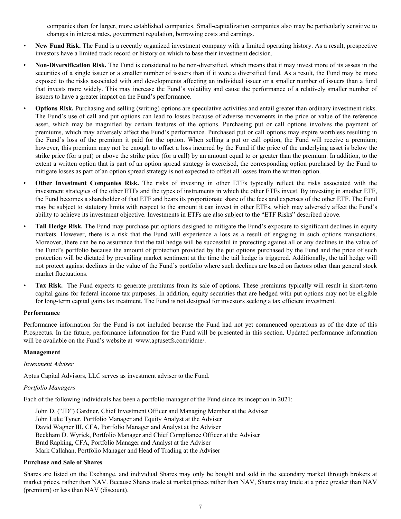companies than for larger, more established companies. Small-capitalization companies also may be particularly sensitive to changes in interest rates, government regulation, borrowing costs and earnings.

- **New Fund Risk.** The Fund is a recently organized investment company with a limited operating history. As a result, prospective investors have a limited track record or history on which to base their investment decision.
- **Non-Diversification Risk.** The Fund is considered to be non-diversified, which means that it may invest more of its assets in the securities of a single issuer or a smaller number of issuers than if it were a diversified fund. As a result, the Fund may be more exposed to the risks associated with and developments affecting an individual issuer or a smaller number of issuers than a fund that invests more widely. This may increase the Fund's volatility and cause the performance of a relatively smaller number of issuers to have a greater impact on the Fund's performance.
- **Options Risk.** Purchasing and selling (writing) options are speculative activities and entail greater than ordinary investment risks. The Fund's use of call and put options can lead to losses because of adverse movements in the price or value of the reference asset, which may be magnified by certain features of the options. Purchasing put or call options involves the payment of premiums, which may adversely affect the Fund's performance. Purchased put or call options may expire worthless resulting in the Fund's loss of the premium it paid for the option. When selling a put or call option, the Fund will receive a premium; however, this premium may not be enough to offset a loss incurred by the Fund if the price of the underlying asset is below the strike price (for a put) or above the strike price (for a call) by an amount equal to or greater than the premium. In addition, to the extent a written option that is part of an option spread strategy is exercised, the corresponding option purchased by the Fund to mitigate losses as part of an option spread strategy is not expected to offset all losses from the written option.
- **Other Investment Companies Risk.** The risks of investing in other ETFs typically reflect the risks associated with the investment strategies of the other ETFs and the types of instruments in which the other ETFs invest. By investing in another ETF, the Fund becomes a shareholder of that ETF and bears its proportionate share of the fees and expenses of the other ETF. The Fund may be subject to statutory limits with respect to the amount it can invest in other ETFs, which may adversely affect the Fund's ability to achieve its investment objective. Investments in ETFs are also subject to the "ETF Risks" described above.
- **Tail Hedge Risk.** The Fund may purchase put options designed to mitigate the Fund's exposure to significant declines in equity markets. However, there is a risk that the Fund will experience a loss as a result of engaging in such options transactions. Moreover, there can be no assurance that the tail hedge will be successful in protecting against all or any declines in the value of the Fund's portfolio because the amount of protection provided by the put options purchased by the Fund and the price of such protection will be dictated by prevailing market sentiment at the time the tail hedge is triggered. Additionally, the tail hedge will not protect against declines in the value of the Fund's portfolio where such declines are based on factors other than general stock market fluctuations.
- **Tax Risk.** The Fund expects to generate premiums from its sale of options. These premiums typically will result in short-term capital gains for federal income tax purposes. In addition, equity securities that are hedged with put options may not be eligible for long-term capital gains tax treatment. The Fund is not designed for investors seeking a tax efficient investment.

#### **Performance**

Performance information for the Fund is not included because the Fund had not yet commenced operations as of the date of this Prospectus. In the future, performance information for the Fund will be presented in this section. Updated performance information will be available on the Fund's website at www.aptusetfs.com/idme/.

#### **Management**

*Investment Adviser*

Aptus Capital Advisors, LLC serves as investment adviser to the Fund.

# *Portfolio Managers*

Each of the following individuals has been a portfolio manager of the Fund since its inception in 2021:

John D. ("JD") Gardner, Chief Investment Officer and Managing Member at the Adviser John Luke Tyner, Portfolio Manager and Equity Analyst at the Adviser David Wagner III, CFA, Portfolio Manager and Analyst at the Adviser Beckham D. Wyrick, Portfolio Manager and Chief Compliance Officer at the Adviser Brad Rapking, CFA, Portfolio Manager and Analyst at the Adviser Mark Callahan, Portfolio Manager and Head of Trading at the Adviser

#### **Purchase and Sale of Shares**

Shares are listed on the Exchange, and individual Shares may only be bought and sold in the secondary market through brokers at market prices, rather than NAV. Because Shares trade at market prices rather than NAV, Shares may trade at a price greater than NAV (premium) or less than NAV (discount).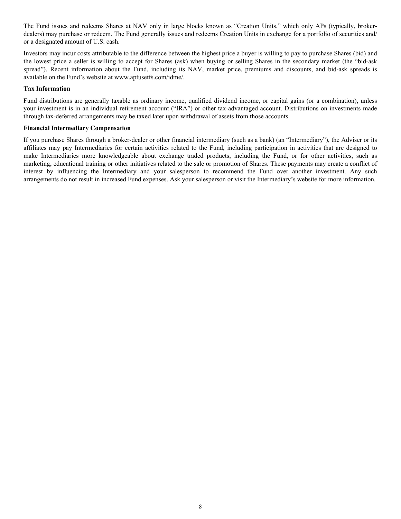The Fund issues and redeems Shares at NAV only in large blocks known as "Creation Units," which only APs (typically, brokerdealers) may purchase or redeem. The Fund generally issues and redeems Creation Units in exchange for a portfolio of securities and/ or a designated amount of U.S. cash.

Investors may incur costs attributable to the difference between the highest price a buyer is willing to pay to purchase Shares (bid) and the lowest price a seller is willing to accept for Shares (ask) when buying or selling Shares in the secondary market (the "bid-ask spread"). Recent information about the Fund, including its NAV, market price, premiums and discounts, and bid-ask spreads is available on the Fund's website at www.aptusetfs.com/idme/.

## **Tax Information**

Fund distributions are generally taxable as ordinary income, qualified dividend income, or capital gains (or a combination), unless your investment is in an individual retirement account ("IRA") or other tax-advantaged account. Distributions on investments made through tax-deferred arrangements may be taxed later upon withdrawal of assets from those accounts.

## **Financial Intermediary Compensation**

If you purchase Shares through a broker-dealer or other financial intermediary (such as a bank) (an "Intermediary"), the Adviser or its affiliates may pay Intermediaries for certain activities related to the Fund, including participation in activities that are designed to make Intermediaries more knowledgeable about exchange traded products, including the Fund, or for other activities, such as marketing, educational training or other initiatives related to the sale or promotion of Shares. These payments may create a conflict of interest by influencing the Intermediary and your salesperson to recommend the Fund over another investment. Any such arrangements do not result in increased Fund expenses. Ask your salesperson or visit the Intermediary's website for more information.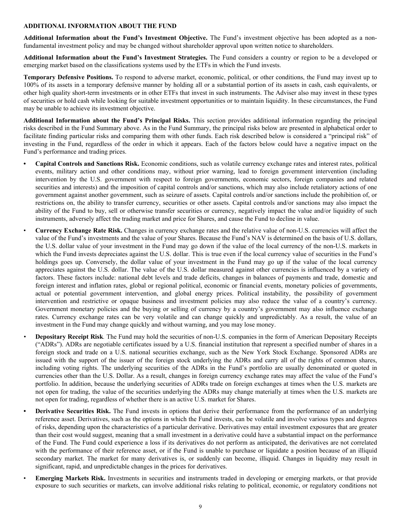#### <span id="page-8-0"></span>**ADDITIONAL INFORMATION ABOUT THE FUND**

**Additional Information about the Fund's Investment Objective.** The Fund's investment objective has been adopted as a nonfundamental investment policy and may be changed without shareholder approval upon written notice to shareholders.

**Additional Information about the Fund's Investment Strategies.** The Fund considers a country or region to be a developed or emerging market based on the classifications systems used by the ETFs in which the Fund invests.

**Temporary Defensive Positions.** To respond to adverse market, economic, political, or other conditions, the Fund may invest up to 100% of its assets in a temporary defensive manner by holding all or a substantial portion of its assets in cash, cash equivalents, or other high quality short-term investments or in other ETFs that invest in such instruments. The Adviser also may invest in these types of securities or hold cash while looking for suitable investment opportunities or to maintain liquidity. In these circumstances, the Fund may be unable to achieve its investment objective.

**Additional Information about the Fund's Principal Risks.** This section provides additional information regarding the principal risks described in the Fund Summary above. As in the Fund Summary, the principal risks below are presented in alphabetical order to facilitate finding particular risks and comparing them with other funds. Each risk described below is considered a "principal risk" of investing in the Fund, regardless of the order in which it appears. Each of the factors below could have a negative impact on the Fund's performance and trading prices.

- **• Capital Controls and Sanctions Risk.** Economic conditions, such as volatile currency exchange rates and interest rates, political events, military action and other conditions may, without prior warning, lead to foreign government intervention (including intervention by the U.S. government with respect to foreign governments, economic sectors, foreign companies and related securities and interests) and the imposition of capital controls and/or sanctions, which may also include retaliatory actions of one government against another government, such as seizure of assets. Capital controls and/or sanctions include the prohibition of, or restrictions on, the ability to transfer currency, securities or other assets. Capital controls and/or sanctions may also impact the ability of the Fund to buy, sell or otherwise transfer securities or currency, negatively impact the value and/or liquidity of such instruments, adversely affect the trading market and price for Shares, and cause the Fund to decline in value.
- **Currency Exchange Rate Risk.** Changes in currency exchange rates and the relative value of non-U.S. currencies will affect the value of the Fund's investments and the value of your Shares. Because the Fund's NAV is determined on the basis of U.S. dollars, the U.S. dollar value of your investment in the Fund may go down if the value of the local currency of the non-U.S. markets in which the Fund invests depreciates against the U.S. dollar. This is true even if the local currency value of securities in the Fund's holdings goes up. Conversely, the dollar value of your investment in the Fund may go up if the value of the local currency appreciates against the U.S. dollar. The value of the U.S. dollar measured against other currencies is influenced by a variety of factors. These factors include: national debt levels and trade deficits, changes in balances of payments and trade, domestic and foreign interest and inflation rates, global or regional political, economic or financial events, monetary policies of governments, actual or potential government intervention, and global energy prices. Political instability, the possibility of government intervention and restrictive or opaque business and investment policies may also reduce the value of a country's currency. Government monetary policies and the buying or selling of currency by a country's government may also influence exchange rates. Currency exchange rates can be very volatile and can change quickly and unpredictably. As a result, the value of an investment in the Fund may change quickly and without warning, and you may lose money.
	- *•* **Depositary Receipt Risk***.* The Fund may hold the securities of non-U.S. companies in the form of American Depositary Receipts ("ADRs"). ADRs are negotiable certificates issued by a U.S. financial institution that represent a specified number of shares in a foreign stock and trade on a U.S. national securities exchange, such as the New York Stock Exchange. Sponsored ADRs are issued with the support of the issuer of the foreign stock underlying the ADRs and carry all of the rights of common shares, including voting rights. The underlying securities of the ADRs in the Fund's portfolio are usually denominated or quoted in currencies other than the U.S. Dollar. As a result, changes in foreign currency exchange rates may affect the value of the Fund's portfolio. In addition, because the underlying securities of ADRs trade on foreign exchanges at times when the U.S. markets are not open for trading, the value of the securities underlying the ADRs may change materially at times when the U.S. markets are not open for trading, regardless of whether there is an active U.S. market for Shares.
- *•* **Derivative Securities Risk.** The Fund invests in options that derive their performance from the performance of an underlying reference asset. Derivatives, such as the options in which the Fund invests, can be volatile and involve various types and degrees of risks, depending upon the characteristics of a particular derivative. Derivatives may entail investment exposures that are greater than their cost would suggest, meaning that a small investment in a derivative could have a substantial impact on the performance of the Fund. The Fund could experience a loss if its derivatives do not perform as anticipated, the derivatives are not correlated with the performance of their reference asset, or if the Fund is unable to purchase or liquidate a position because of an illiquid secondary market. The market for many derivatives is, or suddenly can become, illiquid. Changes in liquidity may result in significant, rapid, and unpredictable changes in the prices for derivatives.
- **Emerging Markets Risk.** Investments in securities and instruments traded in developing or emerging markets, or that provide exposure to such securities or markets, can involve additional risks relating to political, economic, or regulatory conditions not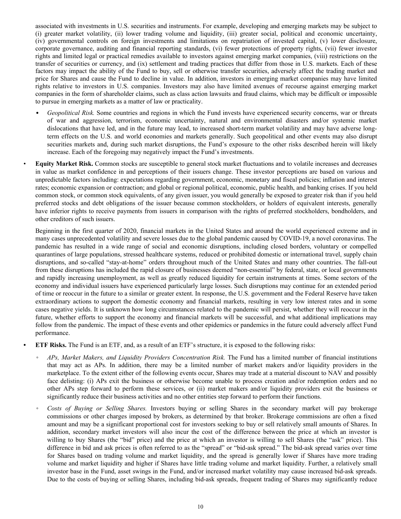associated with investments in U.S. securities and instruments. For example, developing and emerging markets may be subject to (i) greater market volatility, (ii) lower trading volume and liquidity, (iii) greater social, political and economic uncertainty, (iv) governmental controls on foreign investments and limitations on repatriation of invested capital, (v) lower disclosure, corporate governance, auditing and financial reporting standards, (vi) fewer protections of property rights, (vii) fewer investor rights and limited legal or practical remedies available to investors against emerging market companies, (viii) restrictions on the transfer of securities or currency, and (ix) settlement and trading practices that differ from those in U.S. markets. Each of these factors may impact the ability of the Fund to buy, sell or otherwise transfer securities, adversely affect the trading market and price for Shares and cause the Fund to decline in value. In addition, investors in emerging market companies may have limited rights relative to investors in U.S. companies. Investors may also have limited avenues of recourse against emerging market companies in the form of shareholder claims, such as class action lawsuits and fraud claims, which may be difficult or impossible to pursue in emerging markets as a matter of law or practicality.

- **•** *Geopolitical Risk.* Some countries and regions in which the Fund invests have experienced security concerns, war or threats of war and aggression, terrorism, economic uncertainty, natural and environmental disasters and/or systemic market dislocations that have led, and in the future may lead, to increased short-term market volatility and may have adverse longterm effects on the U.S. and world economies and markets generally. Such geopolitical and other events may also disrupt securities markets and, during such market disruptions, the Fund's exposure to the other risks described herein will likely increase. Each of the foregoing may negatively impact the Fund's investments.
- **Equity Market Risk.** Common stocks are susceptible to general stock market fluctuations and to volatile increases and decreases in value as market confidence in and perceptions of their issuers change. These investor perceptions are based on various and unpredictable factors including: expectations regarding government, economic, monetary and fiscal policies; inflation and interest rates; economic expansion or contraction; and global or regional political, economic, public health, and banking crises. If you held common stock, or common stock equivalents, of any given issuer, you would generally be exposed to greater risk than if you held preferred stocks and debt obligations of the issuer because common stockholders, or holders of equivalent interests, generally have inferior rights to receive payments from issuers in comparison with the rights of preferred stockholders, bondholders, and other creditors of such issuers.

Beginning in the first quarter of 2020, financial markets in the United States and around the world experienced extreme and in many cases unprecedented volatility and severe losses due to the global pandemic caused by COVID-19, a novel coronavirus. The pandemic has resulted in a wide range of social and economic disruptions, including closed borders, voluntary or compelled quarantines of large populations, stressed healthcare systems, reduced or prohibited domestic or international travel, supply chain disruptions, and so-called "stay-at-home" orders throughout much of the United States and many other countries. The fall-out from these disruptions has included the rapid closure of businesses deemed "non-essential" by federal, state, or local governments and rapidly increasing unemployment, as well as greatly reduced liquidity for certain instruments at times. Some sectors of the economy and individual issuers have experienced particularly large losses. Such disruptions may continue for an extended period of time or reoccur in the future to a similar or greater extent. In response, the U.S. government and the Federal Reserve have taken extraordinary actions to support the domestic economy and financial markets, resulting in very low interest rates and in some cases negative yields. It is unknown how long circumstances related to the pandemic will persist, whether they will reoccur in the future, whether efforts to support the economy and financial markets will be successful, and what additional implications may follow from the pandemic. The impact of these events and other epidemics or pandemics in the future could adversely affect Fund performance.

**• ETF Risks.** The Fund is an ETF, and, as a result of an ETF's structure, it is exposed to the following risks:

- *APs, Market Makers, and Liquidity Providers Concentration Risk.* The Fund has a limited number of financial institutions that may act as APs. In addition, there may be a limited number of market makers and/or liquidity providers in the marketplace. To the extent either of the following events occur, Shares may trade at a material discount to NAV and possibly face delisting: (i) APs exit the business or otherwise become unable to process creation and/or redemption orders and no other APs step forward to perform these services, or (ii) market makers and/or liquidity providers exit the business or significantly reduce their business activities and no other entities step forward to perform their functions.
- *Costs of Buying or Selling Shares.* Investors buying or selling Shares in the secondary market will pay brokerage commissions or other charges imposed by brokers, as determined by that broker. Brokerage commissions are often a fixed amount and may be a significant proportional cost for investors seeking to buy or sell relatively small amounts of Shares. In addition, secondary market investors will also incur the cost of the difference between the price at which an investor is willing to buy Shares (the "bid" price) and the price at which an investor is willing to sell Shares (the "ask" price). This difference in bid and ask prices is often referred to as the "spread" or "bid-ask spread." The bid-ask spread varies over time for Shares based on trading volume and market liquidity, and the spread is generally lower if Shares have more trading volume and market liquidity and higher if Shares have little trading volume and market liquidity. Further, a relatively small investor base in the Fund, asset swings in the Fund, and/or increased market volatility may cause increased bid-ask spreads. Due to the costs of buying or selling Shares, including bid-ask spreads, frequent trading of Shares may significantly reduce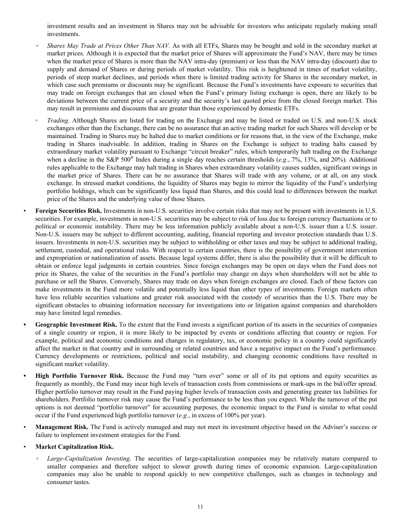investment results and an investment in Shares may not be advisable for investors who anticipate regularly making small investments.

- *Shares May Trade at Prices Other Than NAV.* As with all ETFs, Shares may be bought and sold in the secondary market at market prices. Although it is expected that the market price of Shares will approximate the Fund's NAV, there may be times when the market price of Shares is more than the NAV intra-day (premium) or less than the NAV intra-day (discount) due to supply and demand of Shares or during periods of market volatility. This risk is heightened in times of market volatility, periods of steep market declines, and periods when there is limited trading activity for Shares in the secondary market, in which case such premiums or discounts may be significant. Because the Fund's investments have exposure to securities that may trade on foreign exchanges that are closed when the Fund's primary listing exchange is open, there are likely to be deviations between the current price of a security and the security's last quoted price from the closed foreign market. This may result in premiums and discounts that are greater than those experienced by domestic ETFs.
- *Trading*. Although Shares are listed for trading on the Exchange and may be listed or traded on U.S. and non-U.S. stock exchanges other than the Exchange, there can be no assurance that an active trading market for such Shares will develop or be maintained. Trading in Shares may be halted due to market conditions or for reasons that, in the view of the Exchange, make trading in Shares inadvisable. In addition, trading in Shares on the Exchange is subject to trading halts caused by extraordinary market volatility pursuant to Exchange "circuit breaker" rules, which temporarily halt trading on the Exchange when a decline in the S&P 500® Index during a single day reaches certain thresholds (*e.g.*, 7%, 13%, and 20%). Additional rules applicable to the Exchange may halt trading in Shares when extraordinary volatility causes sudden, significant swings in the market price of Shares. There can be no assurance that Shares will trade with any volume, or at all, on any stock exchange. In stressed market conditions, the liquidity of Shares may begin to mirror the liquidity of the Fund's underlying portfolio holdings, which can be significantly less liquid than Shares, and this could lead to differences between the market price of the Shares and the underlying value of those Shares.
- **Foreign Securities Risk.** Investments in non-U.S. securities involve certain risks that may not be present with investments in U.S. securities. For example, investments in non-U.S. securities may be subject to risk of loss due to foreign currency fluctuations or to political or economic instability. There may be less information publicly available about a non-U.S. issuer than a U.S. issuer. Non-U.S. issuers may be subject to different accounting, auditing, financial reporting and investor protection standards than U.S. issuers. Investments in non-U.S. securities may be subject to withholding or other taxes and may be subject to additional trading, settlement, custodial, and operational risks. With respect to certain countries, there is the possibility of government intervention and expropriation or nationalization of assets. Because legal systems differ, there is also the possibility that it will be difficult to obtain or enforce legal judgments in certain countries. Since foreign exchanges may be open on days when the Fund does not price its Shares, the value of the securities in the Fund's portfolio may change on days when shareholders will not be able to purchase or sell the Shares. Conversely, Shares may trade on days when foreign exchanges are closed. Each of these factors can make investments in the Fund more volatile and potentially less liquid than other types of investments. Foreign markets often have less reliable securities valuations and greater risk associated with the custody of securities than the U.S. There may be significant obstacles to obtaining information necessary for investigations into or litigation against companies and shareholders may have limited legal remedies.
- *•* **Geographic Investment Risk.** To the extent that the Fund invests a significant portion of its assets in the securities of companies of a single country or region, it is more likely to be impacted by events or conditions affecting that country or region. For example, political and economic conditions and changes in regulatory, tax, or economic policy in a country could significantly affect the market in that country and in surrounding or related countries and have a negative impact on the Fund's performance. Currency developments or restrictions, political and social instability, and changing economic conditions have resulted in significant market volatility.
- **High Portfolio Turnover Risk.** Because the Fund may "turn over" some or all of its put options and equity securities as frequently as monthly, the Fund may incur high levels of transaction costs from commissions or mark-ups in the bid/offer spread. Higher portfolio turnover may result in the Fund paying higher levels of transaction costs and generating greater tax liabilities for shareholders. Portfolio turnover risk may cause the Fund's performance to be less than you expect. While the turnover of the put options is not deemed "portfolio turnover" for accounting purposes, the economic impact to the Fund is similar to what could occur if the Fund experienced high portfolio turnover (*e.g.*, in excess of 100% per year).
- **Management Risk.** The Fund is actively managed and may not meet its investment objective based on the Adviser's success or failure to implement investment strategies for the Fund.
- **Market Capitalization Risk.**
	- *Large-Capitalization Investing*. The securities of large-capitalization companies may be relatively mature compared to smaller companies and therefore subject to slower growth during times of economic expansion. Large-capitalization companies may also be unable to respond quickly to new competitive challenges, such as changes in technology and consumer tastes.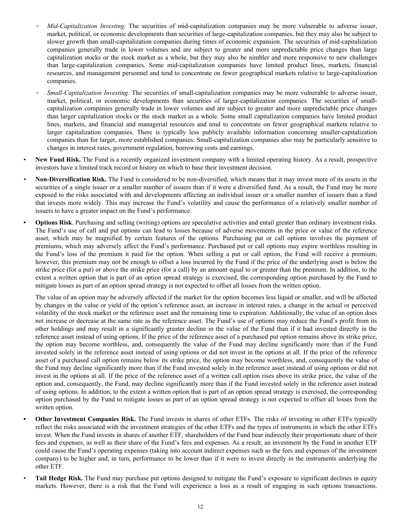- **◦** *Mid-Capitalization Investing.* The securities of mid-capitalization companies may be more vulnerable to adverse issuer, market, political, or economic developments than securities of large-capitalization companies, but they may also be subject to slower growth than small-capitalization companies during times of economic expansion. The securities of mid-capitalization companies generally trade in lower volumes and are subject to greater and more unpredictable price changes than large capitalization stocks or the stock market as a whole, but they may also be nimbler and more responsive to new challenges than large-capitalization companies. Some mid-capitalization companies have limited product lines, markets, financial resources, and management personnel and tend to concentrate on fewer geographical markets relative to large-capitalization companies.
- *Small-Capitalization Investing.* The securities of small-capitalization companies may be more vulnerable to adverse issuer, market, political, or economic developments than securities of larger-capitalization companies. The securities of smallcapitalization companies generally trade in lower volumes and are subject to greater and more unpredictable price changes than larger capitalization stocks or the stock market as a whole. Some small capitalization companies have limited product lines, markets, and financial and managerial resources and tend to concentrate on fewer geographical markets relative to larger capitalization companies. There is typically less publicly available information concerning smaller-capitalization companies than for larger, more established companies. Small-capitalization companies also may be particularly sensitive to changes in interest rates, government regulation, borrowing costs and earnings.
- **New Fund Risk.** The Fund is a recently organized investment company with a limited operating history. As a result, prospective investors have a limited track record or history on which to base their investment decision.
- *•* **Non-Diversification Risk.** The Fund is considered to be non-diversified, which means that it may invest more of its assets in the securities of a single issuer or a smaller number of issuers than if it were a diversified fund. As a result, the Fund may be more exposed to the risks associated with and developments affecting an individual issuer or a smaller number of issuers than a fund that invests more widely. This may increase the Fund's volatility and cause the performance of a relatively smaller number of issuers to have a greater impact on the Fund's performance.
- **• Options Risk**. Purchasing and selling (writing) options are speculative activities and entail greater than ordinary investment risks. The Fund's use of call and put options can lead to losses because of adverse movements in the price or value of the reference asset, which may be magnified by certain features of the options. Purchasing put or call options involves the payment of premiums, which may adversely affect the Fund's performance. Purchased put or call options may expire worthless resulting in the Fund's loss of the premium it paid for the option. When selling a put or call option, the Fund will receive a premium; however, this premium may not be enough to offset a loss incurred by the Fund if the price of the underlying asset is below the strike price (for a put) or above the strike price (for a call) by an amount equal to or greater than the premium. In addition, to the extent a written option that is part of an option spread strategy is exercised, the corresponding option purchased by the Fund to mitigate losses as part of an option spread strategy is not expected to offset all losses from the written option.

The value of an option may be adversely affected if the market for the option becomes less liquid or smaller, and will be affected by changes in the value or yield of the option's reference asset, an increase in interest rates, a change in the actual or perceived volatility of the stock market or the reference asset and the remaining time to expiration. Additionally, the value of an option does not increase or decrease at the same rate as the reference asset. The Fund's use of options may reduce the Fund's profit from its other holdings and may result in a significantly greater decline in the value of the Fund than if it had invested directly in the reference asset instead of using options. If the price of the reference asset of a purchased put option remains above its strike price, the option may become worthless, and, consequently the value of the Fund may decline significantly more than if the Fund invested solely in the reference asset instead of using options or did not invest in the options at all. If the price of the reference asset of a purchased call option remains below its strike price, the option may become worthless, and, consequently the value of the Fund may decline significantly more than if the Fund invested solely in the reference asset instead of using options or did not invest in the options at all. If the price of the reference asset of a written call option rises above its strike price, the value of the option and, consequently, the Fund, may decline significantly more than if the Fund invested solely in the reference asset instead of using options. In addition, to the extent a written option that is part of an option spread strategy is exercised, the corresponding option purchased by the Fund to mitigate losses as part of an option spread strategy is not expected to offset all losses from the written option.

- **• Other Investment Companies Risk.** The Fund invests in shares of other ETFs. The risks of investing in other ETFs typically reflect the risks associated with the investment strategies of the other ETFs and the types of instruments in which the other ETFs invest. When the Fund invests in shares of another ETF, shareholders of the Fund bear indirectly their proportionate share of their fees and expenses, as well as their share of the Fund's fees and expenses. As a result, an investment by the Fund in another ETF could cause the Fund's operating expenses (taking into account indirect expenses such as the fees and expenses of the investment company) to be higher and, in turn, performance to be lower than if it were to invest directly in the instruments underlying the other ETF.
- Tail Hedge Risk. The Fund may purchase put options designed to mitigate the Fund's exposure to significant declines in equity markets. However, there is a risk that the Fund will experience a loss as a result of engaging in such options transactions.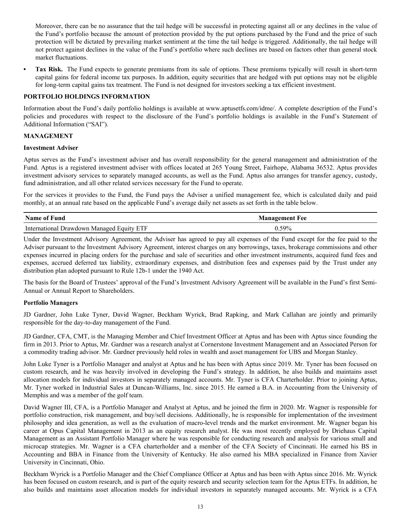<span id="page-12-0"></span>Moreover, there can be no assurance that the tail hedge will be successful in protecting against all or any declines in the value of the Fund's portfolio because the amount of protection provided by the put options purchased by the Fund and the price of such protection will be dictated by prevailing market sentiment at the time the tail hedge is triggered. Additionally, the tail hedge will not protect against declines in the value of the Fund's portfolio where such declines are based on factors other than general stock market fluctuations.

**• Tax Risk.** The Fund expects to generate premiums from its sale of options. These premiums typically will result in short-term capital gains for federal income tax purposes. In addition, equity securities that are hedged with put options may not be eligible for long-term capital gains tax treatment. The Fund is not designed for investors seeking a tax efficient investment.

# **PORTFOLIO HOLDINGS INFORMATION**

Information about the Fund's daily portfolio holdings is available at www.aptusetfs.com/idme/. A complete description of the Fund's policies and procedures with respect to the disclosure of the Fund's portfolio holdings is available in the Fund's Statement of Additional Information ("SAI").

# **MANAGEMENT**

#### **Investment Adviser**

Aptus serves as the Fund's investment adviser and has overall responsibility for the general management and administration of the Fund. Aptus is a registered investment adviser with offices located at 265 Young Street, Fairhope, Alabama 36532. Aptus provides investment advisory services to separately managed accounts, as well as the Fund. Aptus also arranges for transfer agency, custody, fund administration, and all other related services necessary for the Fund to operate.

For the services it provides to the Fund, the Fund pays the Adviser a unified management fee, which is calculated daily and paid monthly, at an annual rate based on the applicable Fund's average daily net assets as set forth in the table below.

| Name                                                          | : нее   |  |
|---------------------------------------------------------------|---------|--|
| √und                                                          | Managam |  |
| -01                                                           | ement   |  |
| <b>ETF</b><br>International<br>)rawdown<br>Managec<br>. Fautv | 500/    |  |

Under the Investment Advisory Agreement, the Adviser has agreed to pay all expenses of the Fund except for the fee paid to the Adviser pursuant to the Investment Advisory Agreement, interest charges on any borrowings, taxes, brokerage commissions and other expenses incurred in placing orders for the purchase and sale of securities and other investment instruments, acquired fund fees and expenses, accrued deferred tax liability, extraordinary expenses, and distribution fees and expenses paid by the Trust under any distribution plan adopted pursuant to Rule 12b-1 under the 1940 Act.

The basis for the Board of Trustees' approval of the Fund's Investment Advisory Agreement will be available in the Fund's first Semi-Annual or Annual Report to Shareholders.

# **Portfolio Managers**

JD Gardner, John Luke Tyner, David Wagner, Beckham Wyrick, Brad Rapking, and Mark Callahan are jointly and primarily responsible for the day-to-day management of the Fund.

JD Gardner, CFA, CMT, is the Managing Member and Chief Investment Officer at Aptus and has been with Aptus since founding the firm in 2013. Prior to Aptus, Mr. Gardner was a research analyst at Cornerstone Investment Management and an Associated Person for a commodity trading advisor. Mr. Gardner previously held roles in wealth and asset management for UBS and Morgan Stanley.

John Luke Tyner is a Portfolio Manager and analyst at Aptus and he has been with Aptus since 2019. Mr. Tyner has been focused on custom research, and he was heavily involved in developing the Fund's strategy. In addition, he also builds and maintains asset allocation models for individual investors in separately managed accounts. Mr. Tyner is CFA Charterholder. Prior to joining Aptus, Mr. Tyner worked in Industrial Sales at Duncan-Williams, Inc. since 2015. He earned a B.A. in Accounting from the University of Memphis and was a member of the golf team.

David Wagner III, CFA, is a Portfolio Manager and Analyst at Aptus, and he joined the firm in 2020. Mr. Wagner is responsible for portfolio construction, risk management, and buy/sell decisions. Additionally, he is responsible for implementation of the investment philosophy and idea generation, as well as the evaluation of macro-level trends and the market environment. Mr. Wagner began his career at Opus Capital Management in 2013 as an equity research analyst. He was most recently employed by Driehaus Capital Management as an Assistant Portfolio Manager where he was responsible for conducting research and analysis for various small and microcap strategies. Mr. Wagner is a CFA charterholder and a member of the CFA Society of Cincinnati. He earned his BS in Accounting and BBA in Finance from the University of Kentucky. He also earned his MBA specialized in Finance from Xavier University in Cincinnati, Ohio.

Beckham Wyrick is a Portfolio Manager and the Chief Compliance Officer at Aptus and has been with Aptus since 2016. Mr. Wyrick has been focused on custom research, and is part of the equity research and security selection team for the Aptus ETFs. In addition, he also builds and maintains asset allocation models for individual investors in separately managed accounts. Mr. Wyrick is a CFA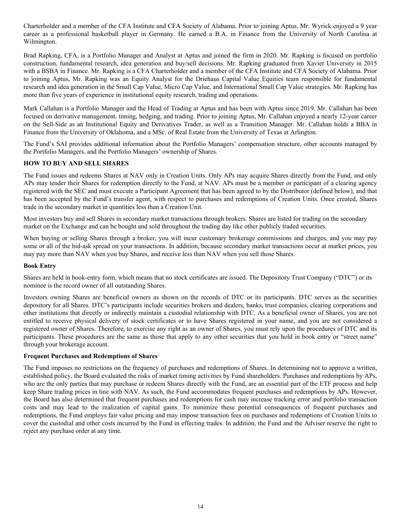<span id="page-13-0"></span>Charterholder and a member of the CFA Institute and CFA Society of Alabama. Prior to joining Aptus, Mr. Wyrick enjoyed a 9 year career as a professional basketball player in Germany. He earned a B.A. in Finance from the University of North Carolina at Wilmington.

Brad Rapking, CFA, is a Portfolio Manager and Analyst at Aptus and joined the firm in 2020. Mr. Rapking is focused on portfolio construction, fundamental research, idea generation and buy/sell decisions. Mr. Rapking graduated from Xavier University in 2015 with a BSBA in Finance. Mr. Rapking is a CFA Charterholder and a member of the CFA Institute and CFA Society of Alabama. Prior to joining Aptus, Mr. Rapking was an Equity Analyst for the Driehaus Capital Value Equities team responsible for fundamental research and idea generation in the Small Cap Value, Micro Cap Value, and International Small Cap Value strategies. Mr. Rapking has more than five years of experience in institutional equity research, trading and operations.

Mark Callahan is a Portfolio Manager and the Head of Trading at Aptus and has been with Aptus since 2019. Mr. Callahan has been focused on derivative management, timing, hedging, and trading. Prior to joining Aptus, Mr. Callahan enjoyed a nearly 12-year career on the Sell-Side as an Institutional Equity and Derivatives Trader, as well as a Transition Manager. Mr. Callahan holds a BBA in Finance from the University of Oklahoma, and a MSc. of Real Estate from the University of Texas at Arlington.

The Fund's SAI provides additional information about the Portfolio Managers' compensation structure, other accounts managed by the Portfolio Managers, and the Portfolio Managers' ownership of Shares.

# **HOW TO BUY AND SELL SHARES**

The Fund issues and redeems Shares at NAV only in Creation Units. Only APs may acquire Shares directly from the Fund, and only APs may tender their Shares for redemption directly to the Fund, at NAV. APs must be a member or participant of a clearing agency registered with the SEC and must execute a Participant Agreement that has been agreed to by the Distributor (defined below), and that has been accepted by the Fund's transfer agent, with respect to purchases and redemptions of Creation Units. Once created, Shares trade in the secondary market in quantities less than a Creation Unit.

Most investors buy and sell Shares in secondary market transactions through brokers. Shares are listed for trading on the secondary market on the Exchange and can be bought and sold throughout the trading day like other publicly traded securities.

When buying or selling Shares through a broker, you will incur customary brokerage commissions and charges, and you may pay some or all of the bid-ask spread on your transactions. In addition, because secondary market transactions occur at market prices, you may pay more than NAV when you buy Shares, and receive less than NAV when you sell those Shares.

# **Book Entry**

Shares are held in book-entry form, which means that no stock certificates are issued. The Depository Trust Company ("DTC") or its nominee is the record owner of all outstanding Shares.

Investors owning Shares are beneficial owners as shown on the records of DTC or its participants. DTC serves as the securities depository for all Shares. DTC's participants include securities brokers and dealers, banks, trust companies, clearing corporations and other institutions that directly or indirectly maintain a custodial relationship with DTC. As a beneficial owner of Shares, you are not entitled to receive physical delivery of stock certificates or to have Shares registered in your name, and you are not considered a registered owner of Shares. Therefore, to exercise any right as an owner of Shares, you must rely upon the procedures of DTC and its participants. These procedures are the same as those that apply to any other securities that you hold in book entry or "street name" through your brokerage account.

# **Frequent Purchases and Redemptions of Shares**

The Fund imposes no restrictions on the frequency of purchases and redemptions of Shares. In determining not to approve a written, established policy, the Board evaluated the risks of market timing activities by Fund shareholders. Purchases and redemptions by APs, who are the only parties that may purchase or redeem Shares directly with the Fund, are an essential part of the ETF process and help keep Share trading prices in line with NAV. As such, the Fund accommodates frequent purchases and redemptions by APs. However, the Board has also determined that frequent purchases and redemptions for cash may increase tracking error and portfolio transaction costs and may lead to the realization of capital gains. To minimize these potential consequences of frequent purchases and redemptions, the Fund employs fair value pricing and may impose transaction fees on purchases and redemptions of Creation Units to cover the custodial and other costs incurred by the Fund in effecting trades. In addition, the Fund and the Adviser reserve the right to reject any purchase order at any time.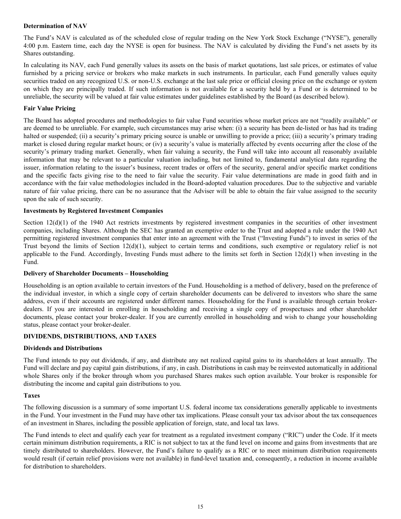#### <span id="page-14-0"></span>**Determination of NAV**

The Fund's NAV is calculated as of the scheduled close of regular trading on the New York Stock Exchange ("NYSE"), generally 4:00 p.m. Eastern time, each day the NYSE is open for business. The NAV is calculated by dividing the Fund's net assets by its Shares outstanding.

In calculating its NAV, each Fund generally values its assets on the basis of market quotations, last sale prices, or estimates of value furnished by a pricing service or brokers who make markets in such instruments. In particular, each Fund generally values equity securities traded on any recognized U.S. or non-U.S. exchange at the last sale price or official closing price on the exchange or system on which they are principally traded. If such information is not available for a security held by a Fund or is determined to be unreliable, the security will be valued at fair value estimates under guidelines established by the Board (as described below).

## **Fair Value Pricing**

The Board has adopted procedures and methodologies to fair value Fund securities whose market prices are not "readily available" or are deemed to be unreliable. For example, such circumstances may arise when: (i) a security has been de-listed or has had its trading halted or suspended; (ii) a security's primary pricing source is unable or unwilling to provide a price; (iii) a security's primary trading market is closed during regular market hours; or (iv) a security's value is materially affected by events occurring after the close of the security's primary trading market. Generally, when fair valuing a security, the Fund will take into account all reasonably available information that may be relevant to a particular valuation including, but not limited to, fundamental analytical data regarding the issuer, information relating to the issuer's business, recent trades or offers of the security, general and/or specific market conditions and the specific facts giving rise to the need to fair value the security. Fair value determinations are made in good faith and in accordance with the fair value methodologies included in the Board-adopted valuation procedures. Due to the subjective and variable nature of fair value pricing, there can be no assurance that the Adviser will be able to obtain the fair value assigned to the security upon the sale of such security.

#### **Investments by Registered Investment Companies**

Section 12(d)(1) of the 1940 Act restricts investments by registered investment companies in the securities of other investment companies, including Shares. Although the SEC has granted an exemptive order to the Trust and adopted a rule under the 1940 Act permitting registered investment companies that enter into an agreement with the Trust ("Investing Funds") to invest in series of the Trust beyond the limits of Section  $12(d)(1)$ , subject to certain terms and conditions, such exemptive or regulatory relief is not applicable to the Fund. Accordingly, Investing Funds must adhere to the limits set forth in Section  $12(d)(1)$  when investing in the Fund.

#### **Delivery of Shareholder Documents – Householding**

Householding is an option available to certain investors of the Fund. Householding is a method of delivery, based on the preference of the individual investor, in which a single copy of certain shareholder documents can be delivered to investors who share the same address, even if their accounts are registered under different names. Householding for the Fund is available through certain brokerdealers. If you are interested in enrolling in householding and receiving a single copy of prospectuses and other shareholder documents, please contact your broker-dealer. If you are currently enrolled in householding and wish to change your householding status, please contact your broker-dealer.

#### **DIVIDENDS, DISTRIBUTIONS, AND TAXES**

#### **Dividends and Distributions**

The Fund intends to pay out dividends, if any, and distribute any net realized capital gains to its shareholders at least annually. The Fund will declare and pay capital gain distributions, if any, in cash. Distributions in cash may be reinvested automatically in additional whole Shares only if the broker through whom you purchased Shares makes such option available. Your broker is responsible for distributing the income and capital gain distributions to you.

#### **Taxes**

The following discussion is a summary of some important U.S. federal income tax considerations generally applicable to investments in the Fund. Your investment in the Fund may have other tax implications. Please consult your tax advisor about the tax consequences of an investment in Shares, including the possible application of foreign, state, and local tax laws.

The Fund intends to elect and qualify each year for treatment as a regulated investment company ("RIC") under the Code. If it meets certain minimum distribution requirements, a RIC is not subject to tax at the fund level on income and gains from investments that are timely distributed to shareholders. However, the Fund's failure to qualify as a RIC or to meet minimum distribution requirements would result (if certain relief provisions were not available) in fund-level taxation and, consequently, a reduction in income available for distribution to shareholders.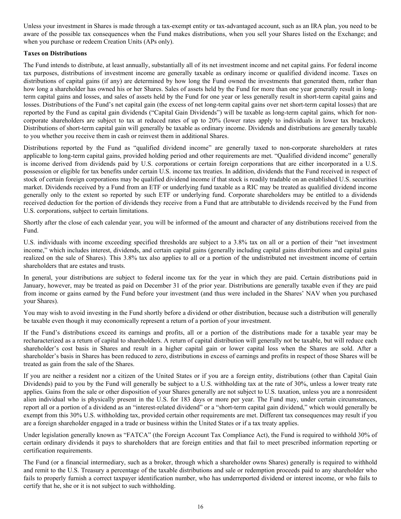Unless your investment in Shares is made through a tax-exempt entity or tax-advantaged account, such as an IRA plan, you need to be aware of the possible tax consequences when the Fund makes distributions, when you sell your Shares listed on the Exchange; and when you purchase or redeem Creation Units (APs only).

# **Taxes on Distributions**

The Fund intends to distribute, at least annually, substantially all of its net investment income and net capital gains. For federal income tax purposes, distributions of investment income are generally taxable as ordinary income or qualified dividend income. Taxes on distributions of capital gains (if any) are determined by how long the Fund owned the investments that generated them, rather than how long a shareholder has owned his or her Shares. Sales of assets held by the Fund for more than one year generally result in longterm capital gains and losses, and sales of assets held by the Fund for one year or less generally result in short-term capital gains and losses. Distributions of the Fund's net capital gain (the excess of net long-term capital gains over net short-term capital losses) that are reported by the Fund as capital gain dividends ("Capital Gain Dividends") will be taxable as long-term capital gains, which for noncorporate shareholders are subject to tax at reduced rates of up to 20% (lower rates apply to individuals in lower tax brackets). Distributions of short-term capital gain will generally be taxable as ordinary income. Dividends and distributions are generally taxable to you whether you receive them in cash or reinvest them in additional Shares.

Distributions reported by the Fund as "qualified dividend income" are generally taxed to non-corporate shareholders at rates applicable to long-term capital gains, provided holding period and other requirements are met. "Qualified dividend income" generally is income derived from dividends paid by U.S. corporations or certain foreign corporations that are either incorporated in a U.S. possession or eligible for tax benefits under certain U.S. income tax treaties. In addition, dividends that the Fund received in respect of stock of certain foreign corporations may be qualified dividend income if that stock is readily tradable on an established U.S. securities market. Dividends received by a Fund from an ETF or underlying fund taxable as a RIC may be treated as qualified dividend income generally only to the extent so reported by such ETF or underlying fund. Corporate shareholders may be entitled to a dividends received deduction for the portion of dividends they receive from a Fund that are attributable to dividends received by the Fund from U.S. corporations, subject to certain limitations.

Shortly after the close of each calendar year, you will be informed of the amount and character of any distributions received from the Fund.

U.S. individuals with income exceeding specified thresholds are subject to a 3.8% tax on all or a portion of their "net investment income," which includes interest, dividends, and certain capital gains (generally including capital gains distributions and capital gains realized on the sale of Shares). This 3.8% tax also applies to all or a portion of the undistributed net investment income of certain shareholders that are estates and trusts.

In general, your distributions are subject to federal income tax for the year in which they are paid. Certain distributions paid in January, however, may be treated as paid on December 31 of the prior year. Distributions are generally taxable even if they are paid from income or gains earned by the Fund before your investment (and thus were included in the Shares' NAV when you purchased your Shares).

You may wish to avoid investing in the Fund shortly before a dividend or other distribution, because such a distribution will generally be taxable even though it may economically represent a return of a portion of your investment.

If the Fund's distributions exceed its earnings and profits, all or a portion of the distributions made for a taxable year may be recharacterized as a return of capital to shareholders. A return of capital distribution will generally not be taxable, but will reduce each shareholder's cost basis in Shares and result in a higher capital gain or lower capital loss when the Shares are sold. After a shareholder's basis in Shares has been reduced to zero, distributions in excess of earnings and profits in respect of those Shares will be treated as gain from the sale of the Shares.

If you are neither a resident nor a citizen of the United States or if you are a foreign entity, distributions (other than Capital Gain Dividends) paid to you by the Fund will generally be subject to a U.S. withholding tax at the rate of 30%, unless a lower treaty rate applies. Gains from the sale or other disposition of your Shares generally are not subject to U.S. taxation, unless you are a nonresident alien individual who is physically present in the U.S. for 183 days or more per year. The Fund may, under certain circumstances, report all or a portion of a dividend as an "interest-related dividend" or a "short-term capital gain dividend," which would generally be exempt from this 30% U.S. withholding tax, provided certain other requirements are met. Different tax consequences may result if you are a foreign shareholder engaged in a trade or business within the United States or if a tax treaty applies.

Under legislation generally known as "FATCA" (the Foreign Account Tax Compliance Act), the Fund is required to withhold 30% of certain ordinary dividends it pays to shareholders that are foreign entities and that fail to meet prescribed information reporting or certification requirements.

The Fund (or a financial intermediary, such as a broker, through which a shareholder owns Shares) generally is required to withhold and remit to the U.S. Treasury a percentage of the taxable distributions and sale or redemption proceeds paid to any shareholder who fails to properly furnish a correct taxpayer identification number, who has underreported dividend or interest income, or who fails to certify that he, she or it is not subject to such withholding.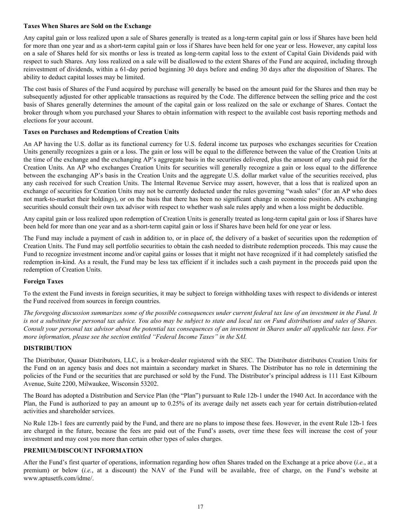## <span id="page-16-0"></span>**Taxes When Shares are Sold on the Exchange**

Any capital gain or loss realized upon a sale of Shares generally is treated as a long-term capital gain or loss if Shares have been held for more than one year and as a short-term capital gain or loss if Shares have been held for one year or less. However, any capital loss on a sale of Shares held for six months or less is treated as long-term capital loss to the extent of Capital Gain Dividends paid with respect to such Shares. Any loss realized on a sale will be disallowed to the extent Shares of the Fund are acquired, including through reinvestment of dividends, within a 61-day period beginning 30 days before and ending 30 days after the disposition of Shares. The ability to deduct capital losses may be limited.

The cost basis of Shares of the Fund acquired by purchase will generally be based on the amount paid for the Shares and then may be subsequently adjusted for other applicable transactions as required by the Code. The difference between the selling price and the cost basis of Shares generally determines the amount of the capital gain or loss realized on the sale or exchange of Shares. Contact the broker through whom you purchased your Shares to obtain information with respect to the available cost basis reporting methods and elections for your account.

# **Taxes on Purchases and Redemptions of Creation Units**

An AP having the U.S. dollar as its functional currency for U.S. federal income tax purposes who exchanges securities for Creation Units generally recognizes a gain or a loss. The gain or loss will be equal to the difference between the value of the Creation Units at the time of the exchange and the exchanging AP's aggregate basis in the securities delivered, plus the amount of any cash paid for the Creation Units. An AP who exchanges Creation Units for securities will generally recognize a gain or loss equal to the difference between the exchanging AP's basis in the Creation Units and the aggregate U.S. dollar market value of the securities received, plus any cash received for such Creation Units. The Internal Revenue Service may assert, however, that a loss that is realized upon an exchange of securities for Creation Units may not be currently deducted under the rules governing "wash sales" (for an AP who does not mark-to-market their holdings), or on the basis that there has been no significant change in economic position. APs exchanging securities should consult their own tax advisor with respect to whether wash sale rules apply and when a loss might be deductible.

Any capital gain or loss realized upon redemption of Creation Units is generally treated as long-term capital gain or loss if Shares have been held for more than one year and as a short-term capital gain or loss if Shares have been held for one year or less.

The Fund may include a payment of cash in addition to, or in place of, the delivery of a basket of securities upon the redemption of Creation Units. The Fund may sell portfolio securities to obtain the cash needed to distribute redemption proceeds. This may cause the Fund to recognize investment income and/or capital gains or losses that it might not have recognized if it had completely satisfied the redemption in-kind. As a result, the Fund may be less tax efficient if it includes such a cash payment in the proceeds paid upon the redemption of Creation Units.

# **Foreign Taxes**

To the extent the Fund invests in foreign securities, it may be subject to foreign withholding taxes with respect to dividends or interest the Fund received from sources in foreign countries.

*The foregoing discussion summarizes some of the possible consequences under current federal tax law of an investment in the Fund. It*  is not a substitute for personal tax advice. You also may be subject to state and local tax on Fund distributions and sales of Shares. *Consult your personal tax advisor about the potential tax consequences of an investment in Shares under all applicable tax laws. For more information, please see the section entitled "Federal Income Taxes" in the SAI.*

# **DISTRIBUTION**

The Distributor, Quasar Distributors, LLC, is a broker-dealer registered with the SEC. The Distributor distributes Creation Units for the Fund on an agency basis and does not maintain a secondary market in Shares. The Distributor has no role in determining the policies of the Fund or the securities that are purchased or sold by the Fund. The Distributor's principal address is 111 East Kilbourn Avenue, Suite 2200, Milwaukee, Wisconsin 53202.

The Board has adopted a Distribution and Service Plan (the "Plan") pursuant to Rule 12b-1 under the 1940 Act. In accordance with the Plan, the Fund is authorized to pay an amount up to 0.25% of its average daily net assets each year for certain distribution-related activities and shareholder services.

No Rule 12b-1 fees are currently paid by the Fund, and there are no plans to impose these fees. However, in the event Rule 12b-1 fees are charged in the future, because the fees are paid out of the Fund's assets, over time these fees will increase the cost of your investment and may cost you more than certain other types of sales charges.

# **PREMIUM/DISCOUNT INFORMATION**

After the Fund's first quarter of operations, information regarding how often Shares traded on the Exchange at a price above (*i.e.*, at a premium) or below (*i.e.*, at a discount) the NAV of the Fund will be available, free of charge, on the Fund's website at www.aptusetfs.com/idme/.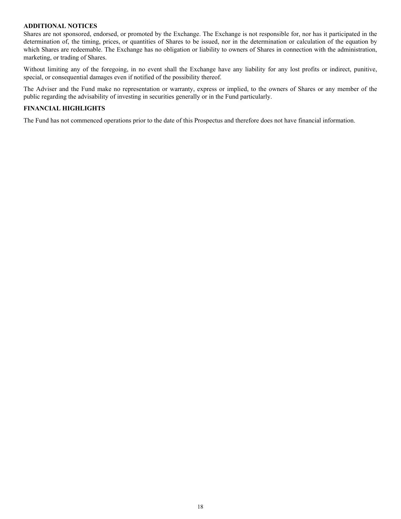#### <span id="page-17-0"></span>**ADDITIONAL NOTICES**

Shares are not sponsored, endorsed, or promoted by the Exchange. The Exchange is not responsible for, nor has it participated in the determination of, the timing, prices, or quantities of Shares to be issued, nor in the determination or calculation of the equation by which Shares are redeemable. The Exchange has no obligation or liability to owners of Shares in connection with the administration, marketing, or trading of Shares.

Without limiting any of the foregoing, in no event shall the Exchange have any liability for any lost profits or indirect, punitive, special, or consequential damages even if notified of the possibility thereof.

The Adviser and the Fund make no representation or warranty, express or implied, to the owners of Shares or any member of the public regarding the advisability of investing in securities generally or in the Fund particularly.

# **FINANCIAL HIGHLIGHTS**

The Fund has not commenced operations prior to the date of this Prospectus and therefore does not have financial information.